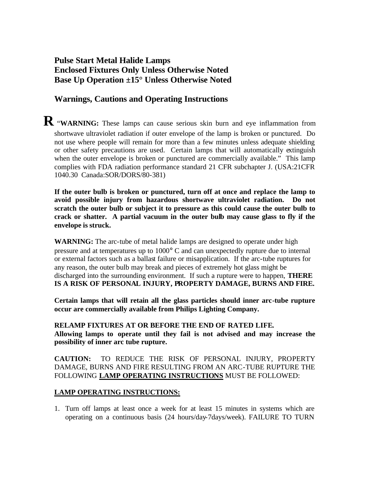## **Pulse Start Metal Halide Lamps Enclosed Fixtures Only Unless Otherwise Noted Base Up Operation ±15° Unless Otherwise Noted**

## **Warnings, Cautions and Operating Instructions**

**R** "**WARNING:** These lamps can cause serious skin burn and eye inflammation from shortwave ultraviolet radiation if outer envelope of the lamp is broken or punctured. Do not use where people will remain for more than a few minutes unless adequate shielding or other safety precautions are used. Certain lamps that will automatically extinguish when the outer envelope is broken or punctured are commercially available." This lamp complies with FDA radiation performance standard 21 CFR subchapter J. (USA:21CFR 1040.30 Canada:SOR/DORS/80-381)

**If the outer bulb is broken or punctured, turn off at once and replace the lamp to avoid possible injury from hazardous shortwave ultraviolet radiation. Do not scratch the outer bulb or subject it to pressure as this could cause the outer bulb to crack or shatter. A partial vacuum in the outer bulb may cause glass to fly if the envelope is struck.**

**WARNING:** The arc-tube of metal halide lamps are designed to operate under high pressure and at temperatures up to 1000° C and can unexpectedly rupture due to internal or external factors such as a ballast failure or misapplication. If the arc-tube ruptures for any reason, the outer bulb may break and pieces of extremely hot glass might be discharged into the surrounding environment. If such a rupture were to happen, **THERE IS A RISK OF PERSONAL INJURY, PROPERTY DAMAGE, BURNS AND FIRE.**

**Certain lamps that will retain all the glass particles should inner arc-tube rupture occur are commercially available from Philips Lighting Company.**

**RELAMP FIXTURES AT OR BEFORE THE END OF RATED LIFE. Allowing lamps to operate until they fail is not advised and may increase the possibility of inner arc tube rupture.** 

**CAUTION:** TO REDUCE THE RISK OF PERSONAL INJURY, PROPERTY DAMAGE, BURNS AND FIRE RESULTING FROM AN ARC-TUBE RUPTURE THE FOLLOWING **LAMP OPERATING INSTRUCTIONS** MUST BE FOLLOWED:

## **LAMP OPERATING INSTRUCTIONS:**

1. Turn off lamps at least once a week for at least 15 minutes in systems which are operating on a continuous basis (24 hours/day-7days/week). FAILURE TO TURN